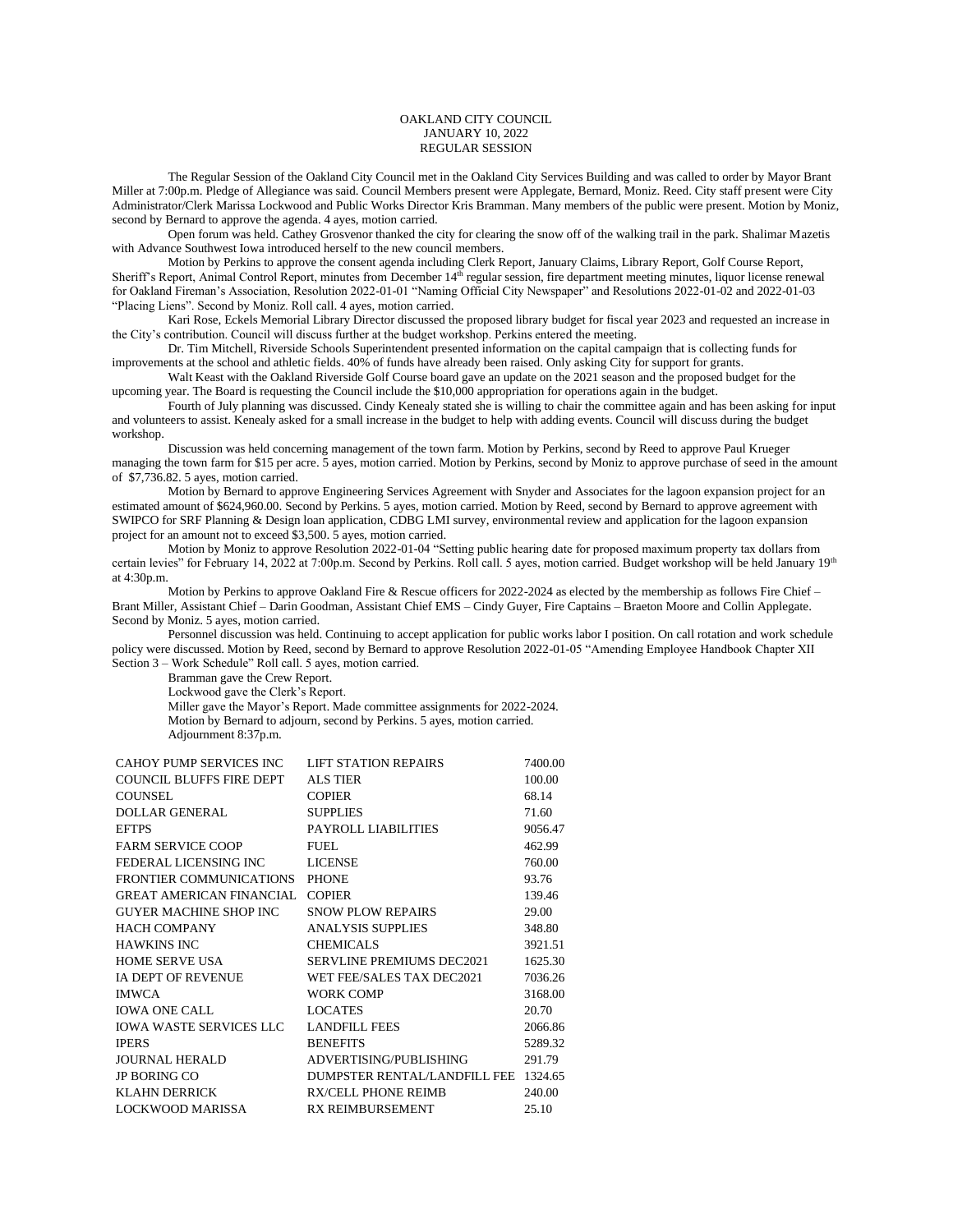## OAKLAND CITY COUNCIL JANUARY 10, 2022 REGULAR SESSION

The Regular Session of the Oakland City Council met in the Oakland City Services Building and was called to order by Mayor Brant Miller at 7:00p.m. Pledge of Allegiance was said. Council Members present were Applegate, Bernard, Moniz. Reed. City staff present were City Administrator/Clerk Marissa Lockwood and Public Works Director Kris Bramman. Many members of the public were present. Motion by Moniz, second by Bernard to approve the agenda. 4 ayes, motion carried.

Open forum was held. Cathey Grosvenor thanked the city for clearing the snow off of the walking trail in the park. Shalimar Mazetis with Advance Southwest Iowa introduced herself to the new council members.

Motion by Perkins to approve the consent agenda including Clerk Report, January Claims, Library Report, Golf Course Report, Sheriff's Report, Animal Control Report, minutes from December 14<sup>th</sup> regular session, fire department meeting minutes, liquor license renewal for Oakland Fireman's Association, Resolution 2022-01-01 "Naming Official City Newspaper" and Resolutions 2022-01-02 and 2022-01-03 "Placing Liens". Second by Moniz. Roll call. 4 ayes, motion carried.

Kari Rose, Eckels Memorial Library Director discussed the proposed library budget for fiscal year 2023 and requested an increase in the City's contribution. Council will discuss further at the budget workshop. Perkins entered the meeting.

Dr. Tim Mitchell, Riverside Schools Superintendent presented information on the capital campaign that is collecting funds for improvements at the school and athletic fields. 40% of funds have already been raised. Only asking City for support for grants.

Walt Keast with the Oakland Riverside Golf Course board gave an update on the 2021 season and the proposed budget for the upcoming year. The Board is requesting the Council include the \$10,000 appropriation for operations again in the budget.

Fourth of July planning was discussed. Cindy Kenealy stated she is willing to chair the committee again and has been asking for input and volunteers to assist. Kenealy asked for a small increase in the budget to help with adding events. Council will discuss during the budget workshop.

Discussion was held concerning management of the town farm. Motion by Perkins, second by Reed to approve Paul Krueger managing the town farm for \$15 per acre. 5 ayes, motion carried. Motion by Perkins, second by Moniz to approve purchase of seed in the amount of \$7,736.82. 5 ayes, motion carried.

Motion by Bernard to approve Engineering Services Agreement with Snyder and Associates for the lagoon expansion project for an estimated amount of \$624,960.00. Second by Perkins. 5 ayes, motion carried. Motion by Reed, second by Bernard to approve agreement with SWIPCO for SRF Planning & Design loan application, CDBG LMI survey, environmental review and application for the lagoon expansion project for an amount not to exceed \$3,500. 5 ayes, motion carried.

Motion by Moniz to approve Resolution 2022-01-04 "Setting public hearing date for proposed maximum property tax dollars from certain levies" for February 14, 2022 at 7:00p.m. Second by Perkins. Roll call. 5 ayes, motion carried. Budget workshop will be held January 19<sup>th</sup> at 4:30p.m.

Motion by Perkins to approve Oakland Fire & Rescue officers for 2022-2024 as elected by the membership as follows Fire Chief – Brant Miller, Assistant Chief – Darin Goodman, Assistant Chief EMS – Cindy Guyer, Fire Captains – Braeton Moore and Collin Applegate. Second by Moniz. 5 ayes, motion carried.

Personnel discussion was held. Continuing to accept application for public works labor I position. On call rotation and work schedule policy were discussed. Motion by Reed, second by Bernard to approve Resolution 2022-01-05 "Amending Employee Handbook Chapter XII Section 3 – Work Schedule" Roll call. 5 ayes, motion carried.

Bramman gave the Crew Report.

Lockwood gave the Clerk's Report.

Miller gave the Mayor's Report. Made committee assignments for 2022-2024. Motion by Bernard to adjourn, second by Perkins. 5 ayes, motion carried. Adjournment 8:37p.m.

| CAHOY PUMP SERVICES INC         | <b>LIFT STATION REPAIRS</b>          | 7400.00 |
|---------------------------------|--------------------------------------|---------|
| COUNCIL BLUFFS FIRE DEPT        | <b>ALS TIER</b>                      | 100.00  |
| <b>COUNSEL</b>                  | <b>COPIER</b>                        | 68.14   |
| <b>DOLLAR GENERAL</b>           | <b>SUPPLIES</b>                      | 71.60   |
| <b>EFTPS</b>                    | PAYROLL LIABILITIES                  | 9056.47 |
| <b>FARM SERVICE COOP</b>        | FUEL.                                | 462.99  |
| FEDERAL LICENSING INC           | <b>LICENSE</b>                       | 760.00  |
| FRONTIER COMMUNICATIONS         | <b>PHONE</b>                         | 93.76   |
| <b>GREAT AMERICAN FINANCIAL</b> | <b>COPIER</b>                        | 139.46  |
| GUYER MACHINE SHOP INC          | <b>SNOW PLOW REPAIRS</b>             | 29.00   |
| <b>HACH COMPANY</b>             | <b>ANALYSIS SUPPLIES</b>             | 348.80  |
| <b>HAWKINS INC</b>              | <b>CHEMICALS</b>                     | 3921.51 |
| <b>HOME SERVE USA</b>           | SERVLINE PREMIUMS DEC2021            | 1625.30 |
| IA DEPT OF REVENUE              | WET FEE/SALES TAX DEC2021            | 7036.26 |
| <b>IMWCA</b>                    | <b>WORK COMP</b>                     | 3168.00 |
| <b>IOWA ONE CALL</b>            | <b>LOCATES</b>                       | 20.70   |
| <b>IOWA WASTE SERVICES LLC</b>  | <b>LANDFILL FEES</b>                 | 2066.86 |
| <b>IPERS</b>                    | <b>BENEFITS</b>                      | 5289.32 |
| <b>JOURNAL HERALD</b>           | ADVERTISING/PUBLISHING               | 291.79  |
| <b>JP BORING CO</b>             | DUMPSTER RENTAL/LANDFILL FEE 1324.65 |         |
| KLAHN DERRICK                   | <b>RX/CELL PHONE REIMB</b>           | 240.00  |
| <b>LOCKWOOD MARISSA</b>         | <b>RX REIMBURSEMENT</b>              | 25.10   |